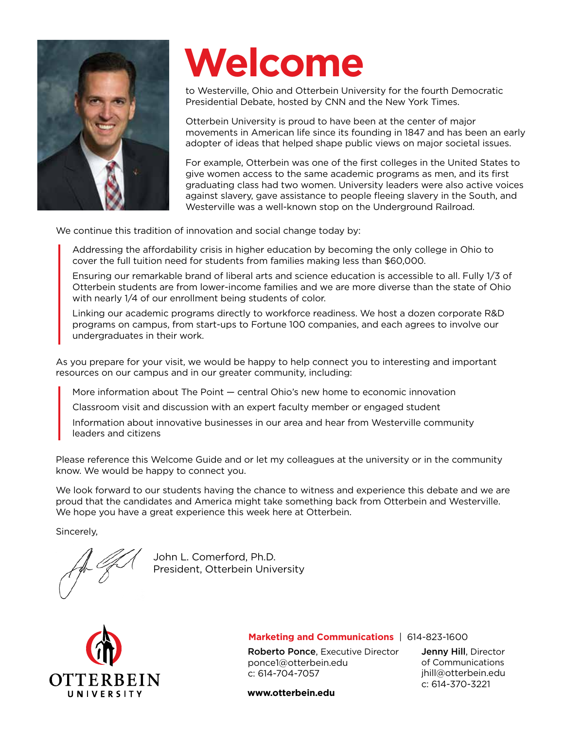

# **Welcome**

to Westerville, Ohio and Otterbein University for the fourth Democratic Presidential Debate, hosted by CNN and the New York Times.

Otterbein University is proud to have been at the center of major movements in American life since its founding in 1847 and has been an early adopter of ideas that helped shape public views on major societal issues.

For example, Otterbein was one of the first colleges in the United States to give women access to the same academic programs as men, and its first graduating class had two women. University leaders were also active voices against slavery, gave assistance to people fleeing slavery in the South, and Westerville was a well-known stop on the Underground Railroad.

We continue this tradition of innovation and social change today by:

Addressing the affordability crisis in higher education by becoming the only college in Ohio to cover the full tuition need for students from families making less than \$60,000.

Ensuring our remarkable brand of liberal arts and science education is accessible to all. Fully 1/3 of Otterbein students are from lower-income families and we are more diverse than the state of Ohio with nearly 1/4 of our enrollment being students of color.

Linking our academic programs directly to workforce readiness. We host a dozen corporate R&D programs on campus, from start-ups to Fortune 100 companies, and each agrees to involve our undergraduates in their work.

As you prepare for your visit, we would be happy to help connect you to interesting and important resources on our campus and in our greater community, including:

More information about The Point — central Ohio's new home to economic innovation

Classroom visit and discussion with an expert faculty member or engaged student

Information about innovative businesses in our area and hear from Westerville community leaders and citizens

Please reference this Welcome Guide and or let my colleagues at the university or in the community know. We would be happy to connect you.

We look forward to our students having the chance to witness and experience this debate and we are proud that the candidates and America might take something back from Otterbein and Westerville. We hope you have a great experience this week here at Otterbein.

Sincerely,

John L. Comerford, Ph.D. President, Otterbein University



#### **Marketing and Communications** | 614-823-1600

Roberto Ponce, Executive Director ponce1@otterbein.edu c: 614-704-7057

Jenny Hill, Director of Communications jhill@otterbein.edu c: 614-370-3221

**www.otterbein.edu**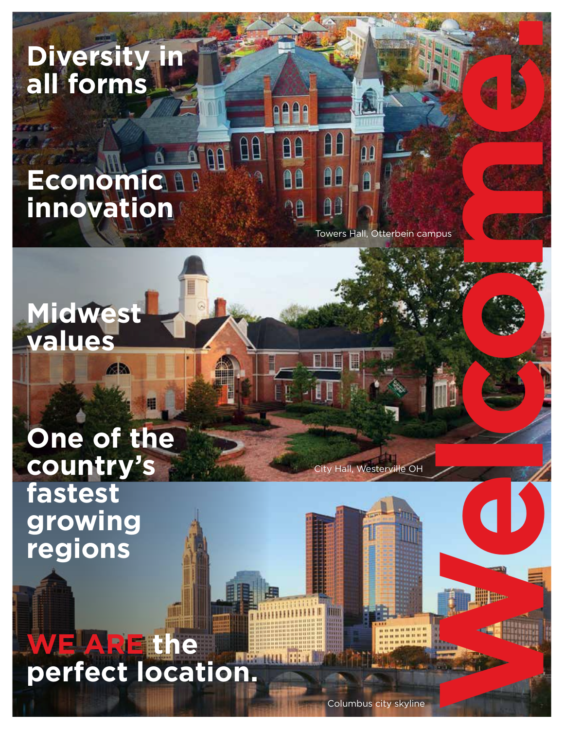**Diversity in all forms**

# $\mathbf{a}^{\mathsf{T}}$ AA **Economic innovation**

**Midwest** 

**values**

Welcome. Towers Hall, Otterbein campus

88

 $\mathbf{A}$ 

AB

θÊ

AA

 $^{\circ}$ 

# **One of the country's fastest growing regions**

6R)

**WE ARE the perfect location.**

Columbus city skyline

**ity Hall, Westerville OH** 

 $\blacksquare$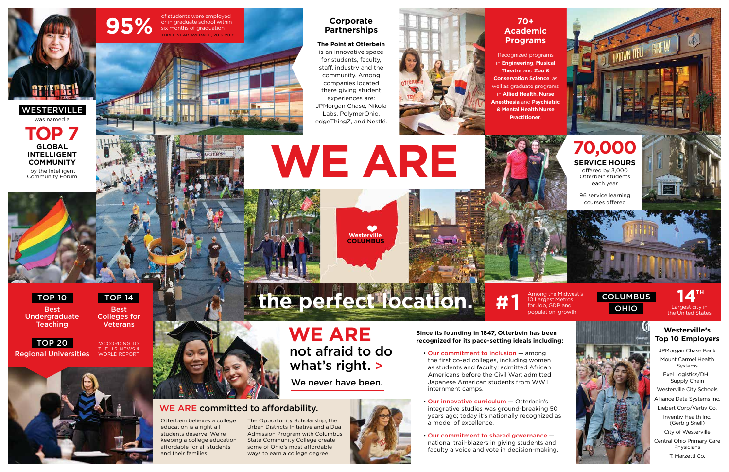# **WE ARE**

**COLUMBUS** Westerville



**the perfect location.**

## **Corporate Partnerships**

#### **The Point at Otterbein**

is an innovative space for students, faculty, staff, industry and the community. Among companies located there giving student experiences are: JPMorgan Chase, Nikola Labs, PolymerOhio, edgeThingZ, and Nestlé.



TOP 20





# TOP 10

# TOP<sub>14</sub>





10 Largest Metros for Job, GDP and





of students were employed<br>or in graduate school within<br>six months of graduation or in graduate school within six months of graduation THREE-YEAR AVERAGE, 2016-2018

Best Undergraduate **Teaching** 

## **70+ Academic Programs**

Best Colleges for **Veterans** 

## **Westerville's Top 10 Employers**

Recognized programs in **Engineering**, **Musical Theatre** and **Zoo & Conservation Science**, as well as graduate programs in **Allied Health**, **Nurse Anesthesia** and **Psychiatric & Mental Health Nurse Practitioner**.

> JPMorgan Chase Bank Mount Carmel Health Systems

Exel Logistics/DHL Supply Chain

Westerville City Schools

Alliance Data Systems Inc.

Liebert Corp/Vertiv Co.

Inventiv Health Inc. (Gerbig Snell)

City of Westerville

Central Ohio Primary Care Physicians

T. Marzetti Co.







Regional Universities

- Our commitment to inclusion among the first co-ed colleges, including women as students and faculty; admitted African Americans before the Civil War; admitted Japanese American students from WWII internment camps.
- Our innovative curriculum Otterbein's integrative studies was ground-breaking 50 years ago; today it's nationally recognized as a model of excellence.
- Our commitment to shared governance national trail-blazers in giving students and faculty a voice and vote in decision-making.



Otterbein believes a college education is a right all students deserve. We're keeping a college education affordable for all students and their families.

The Opportunity Scholarship, the Urban Districts Initiative and a Dual Admission Program with Columbus State Community College create some of Ohio's most affordable ways to earn a college degree.



#### **Since its founding in 1847, Otterbein has been recognized for its pace-setting ideals including:**

# WE ARE committed to affordability.

We never have been.